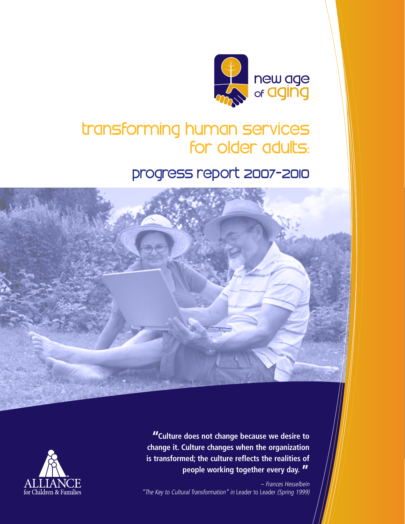

# transforming human services for older adults:

# progress report 2007-2010





**"Culture does not change because we desire to change it. Culture changes when the organization is transformed; the culture reflects the realities of people working together every day. "**

– Frances Hesselbein "The Key to Cultural Transformation" in Leader to Leader (Spring 1999)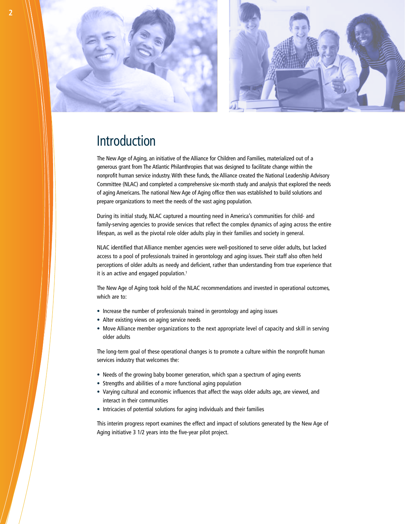

# Introduction

The New Age of Aging, an initiative of the Alliance for Children and Families, materialized out of a generous grant from The Atlantic Philanthropies that was designed to facilitate change within the nonprofit human service industry. With these funds, the Alliance created the National Leadership Advisory Committee (NLAC) and completed a comprehensive six-month study and analysis that explored the needs of aging Americans. The national New Age of Aging office then was established to build solutions and prepare organizations to meet the needs of the vast aging population.

During its initial study, NLAC captured a mounting need in America's communities for child- and family-serving agencies to provide services that reflect the complex dynamics of aging across the entire lifespan, as well as the pivotal role older adults play in their families and society in general.

NLAC identified that Alliance member agencies were well-positioned to serve older adults, but lacked access to a pool of professionals trained in gerontology and aging issues. Their staff also often held perceptions of older adults as needy and deficient, rather than understanding from true experience that it is an active and engaged population.<sup>1</sup>

The New Age of Aging took hold of the NLAC recommendations and invested in operational outcomes, which are to:

- Increase the number of professionals trained in gerontology and aging issues
- Alter existing views on aging service needs
- • Move Alliance member organizations to the next appropriate level of capacity and skill in serving older adults

The long-term goal of these operational changes is to promote a culture within the nonprofit human services industry that welcomes the:

- Needs of the growing baby boomer generation, which span a spectrum of aging events
- Strengths and abilities of a more functional aging population
- • Varying cultural and economic influences that affect the ways older adults age, are viewed, and interact in their communities
- Intricacies of potential solutions for aging individuals and their families

This interim progress report examines the effect and impact of solutions generated by the New Age of Aging initiative 3 1/2 years into the five-year pilot project.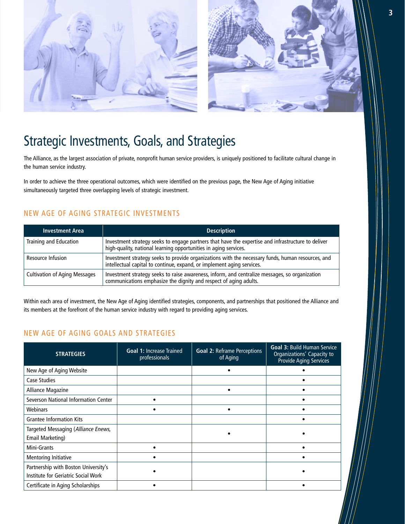

# Strategic Investments, Goals, and Strategies

The Alliance, as the largest association of private, nonprofit human service providers, is uniquely positioned to facilitate cultural change in the human service industry.

In order to achieve the three operational outcomes, which were identified on the previous page, the New Age of Aging initiative simultaneously targeted three overlapping levels of strategic investment.

### New Age of Aging Strategic Investments

| <b>Investment Area</b>               | <b>Description</b>                                                                                                                                                          |
|--------------------------------------|-----------------------------------------------------------------------------------------------------------------------------------------------------------------------------|
| Training and Education               | Investment strategy seeks to engage partners that have the expertise and infrastructure to deliver<br>high-quality, national learning opportunities in aging services.      |
| Resource Infusion                    | Investment strategy seeks to provide organizations with the necessary funds, human resources, and<br>intellectual capital to continue, expand, or implement aging services. |
| <b>Cultivation of Aging Messages</b> | Investment strategy seeks to raise awareness, inform, and centralize messages, so organization<br>communications emphasize the dignity and respect of aging adults.         |

Within each area of investment, the New Age of Aging identified strategies, components, and partnerships that positioned the Alliance and its members at the forefront of the human service industry with regard to providing aging services.

### New Age of Aging Goals and Strategies

| <b>STRATEGIES</b>                                                           | <b>Goal 1: Increase Trained</b><br>professionals | <b>Goal 2: Reframe Perceptions</b><br>of Aging | <b>Goal 3: Build Human Service</b><br>Organizations' Capacity to<br>Provide Aging Services |
|-----------------------------------------------------------------------------|--------------------------------------------------|------------------------------------------------|--------------------------------------------------------------------------------------------|
| New Age of Aging Website                                                    |                                                  |                                                |                                                                                            |
| Case Studies                                                                |                                                  |                                                |                                                                                            |
| Alliance Magazine                                                           |                                                  |                                                |                                                                                            |
| Severson National Information Center                                        |                                                  |                                                |                                                                                            |
| Webinars                                                                    |                                                  |                                                |                                                                                            |
| <b>Grantee Information Kits</b>                                             |                                                  |                                                |                                                                                            |
| Targeted Messaging (Alliance Enews,<br>Email Marketing)                     |                                                  |                                                |                                                                                            |
| Mini-Grants                                                                 |                                                  |                                                |                                                                                            |
| <b>Mentoring Initiative</b>                                                 |                                                  |                                                |                                                                                            |
| Partnership with Boston University's<br>Institute for Geriatric Social Work |                                                  |                                                |                                                                                            |
| Certificate in Aging Scholarships                                           |                                                  |                                                |                                                                                            |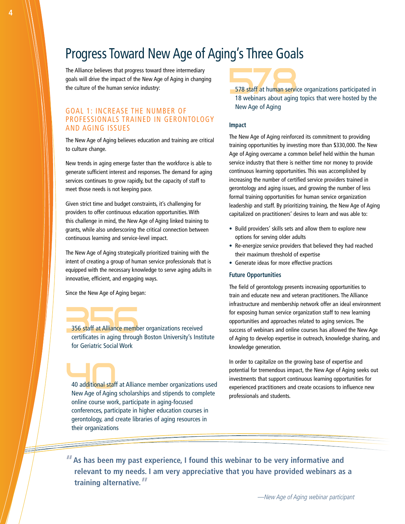## Progress Toward New Age of Aging's Three Goals

The Alliance believes that progress toward three intermediary goals will drive the impact of the New Age of Aging in changing the culture of the human service industry:

### Goal 1: Increase the Number of Professionals Trained in Gerontology and Aging Issues

The New Age of Aging believes education and training are critical to culture change.

New trends in aging emerge faster than the workforce is able to generate sufficient interest and responses. The demand for aging services continues to grow rapidly, but the capacity of staff to meet those needs is not keeping pace.

Given strict time and budget constraints, it's challenging for providers to offer continuous education opportunities. With this challenge in mind, the New Age of Aging linked training to grants, while also underscoring the critical connection between continuous learning and service-level impact.

The New Age of Aging strategically prioritized training with the intent of creating a group of human service professionals that is equipped with the necessary knowledge to serve aging adults in innovative, efficient, and engaging ways.

Since the New Age of Aging began:

356 staff at Alliance member organizations received certificates in aging through Boston University's Institute for Geriatric Social Work

40 additional staff at Alliance member organizations used New Age of Aging scholarships and stipends to complete online course work, participate in aging-focused conferences, participate in higher education courses in gerontology, and create libraries of aging resources in their organizations

578 staff at human service organizations participated in 18 webinars about aging topics that were hosted by the New Age of Aging

#### **Impact**

The New Age of Aging reinforced its commitment to providing training opportunities by investing more than \$330,000. The New Age of Aging overcame a common belief held within the human service industry that there is neither time nor money to provide continuous learning opportunities. This was accomplished by increasing the number of certified service providers trained in gerontology and aging issues, and growing the number of less formal training opportunities for human service organization leadership and staff. By prioritizing training, the New Age of Aging capitalized on practitioners' desires to learn and was able to:

- Build providers' skills sets and allow them to explore new options for serving older adults
- Re-energize service providers that believed they had reached their maximum threshold of expertise
- • Generate ideas for more effective practices

#### **Future Opportunities**

The field of gerontology presents increasing opportunities to train and educate new and veteran practitioners. The Alliance infrastructure and membership network offer an ideal environment for exposing human service organization staff to new learning opportunities and approaches related to aging services. The success of webinars and online courses has allowed the New Age of Aging to develop expertise in outreach, knowledge sharing, and knowledge generation.

In order to capitalize on the growing base of expertise and potential for tremendous impact, the New Age of Aging seeks out investments that support continuous learning opportunities for experienced practitioners and create occasions to influence new professionals and students.

**"As has been my past experience, I found this webinar to be very informative and relevant to my needs. I am very appreciative that you have provided webinars as a training alternative."** 

E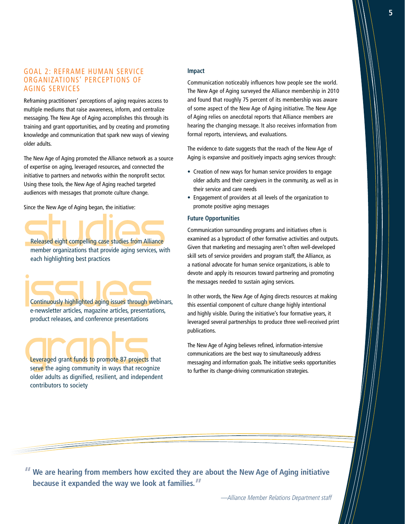### Goal 2: Reframe Human Service Organizations' Perceptions of Aging Services

Reframing practitioners' perceptions of aging requires access to multiple mediums that raise awareness, inform, and centralize messaging. The New Age of Aging accomplishes this through its training and grant opportunities, and by creating and promoting knowledge and communication that spark new ways of viewing older adults.

The New Age of Aging promoted the Alliance network as a source of expertise on aging, leveraged resources, and connected the initiative to partners and networks within the nonprofit sector. Using these tools, the New Age of Aging reached targeted audiences with messages that promote culture change.

Since the New Age of Aging began, the initiative:

Released eight compelling case studies from Alliance member organizations that provide aging services, with each highlighting best practices

Continuously highlighted aging issues through webinars, e-newsletter articles, magazine articles, presentations, product releases, and conference presentations

Leveraged grant funds to promote 87 projects that serve the aging community in ways that recognize older adults as dignified, resilient, and independent contributors to society

#### **Impact**

Communication noticeably influences how people see the world. The New Age of Aging surveyed the Alliance membership in 2010 and found that roughly 75 percent of its membership was aware of some aspect of the New Age of Aging initiative. The New Age of Aging relies on anecdotal reports that Alliance members are hearing the changing message. It also receives information from formal reports, interviews, and evaluations.

The evidence to date suggests that the reach of the New Age of Aging is expansive and positively impacts aging services through:

- Creation of new ways for human service providers to engage older adults and their caregivers in the community, as well as in their service and care needs
- • Engagement of providers at all levels of the organization to promote positive aging messages

### **Future Opportunities**

Communication surrounding programs and initiatives often is examined as a byproduct of other formative activities and outputs. Given that marketing and messaging aren't often well-developed skill sets of service providers and program staff, the Alliance, as a national advocate for human service organizations, is able to devote and apply its resources toward partnering and promoting the messages needed to sustain aging services.

In other words, the New Age of Aging directs resources at making this essential component of culture change highly intentional and highly visible. During the initiative's four formative years, it leveraged several partnerships to produce three well-received print publications.

The New Age of Aging believes refined, information-intensive communications are the best way to simultaneously address messaging and information goals. The initiative seeks opportunities to further its change-driving communication strategies.

**"We are hearing from members how excited they are about the New Age of Aging initiative because it expanded the way we look at families."**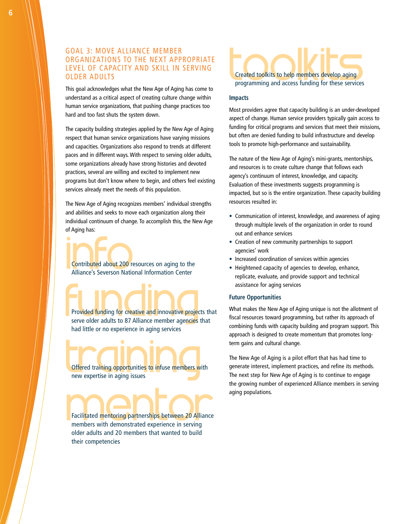### Goal 3: Move Alliance Member Organizations to the Next Appropriate Level of Capacity and Skill in Serving **OLDER ADULTS**

This goal acknowledges what the New Age of Aging has come to understand as a critical aspect of creating culture change within human service organizations, that pushing change practices too hard and too fast shuts the system down.

The capacity building strategies applied by the New Age of Aging respect that human service organizations have varying missions and capacities. Organizations also respond to trends at different paces and in different ways. With respect to serving older adults, some organizations already have strong histories and devoted practices, several are willing and excited to implement new programs but don't know where to begin, and others feel existing services already meet the needs of this population.

The New Age of Aging recognizes members' individual strengths and abilities and seeks to move each organization along their individual continuum of change. To accomplish this, the New Age of Aging has:

Contributed about 200 resources on aging to the Alliance's Severson National Information Center

Provided funding for creative and innovative projects that serve older adults to 87 Alliance member agencies that had little or no experience in aging services

Offered training opportunities to infuse members with new expertise in aging issues

Facilitated mentoring partnerships between 20 Alliance members with demonstrated experience in serving older adults and 20 members that wanted to build their competencies



### **Impacts**

Most providers agree that capacity building is an under-developed aspect of change. Human service providers typically gain access to funding for critical programs and services that meet their missions, but often are denied funding to build infrastructure and develop tools to promote high-performance and sustainability.

The nature of the New Age of Aging's mini-grants, mentorships, and resources is to create culture change that follows each agency's continuum of interest, knowledge, and capacity. Evaluation of these investments suggests programming is impacted, but so is the entire organization. These capacity building resources resulted in:

- Communication of interest, knowledge, and awareness of aging through multiple levels of the organization in order to round out and enhance services
- Creation of new community partnerships to support agencies' work
- Increased coordination of services within agencies
- Heightened capacity of agencies to develop, enhance, replicate, evaluate, and provide support and technical assistance for aging services

#### **Future Opportunities**

What makes the New Age of Aging unique is not the allotment of fiscal resources toward programming, but rather its approach of combining funds with capacity building and program support. This approach is designed to create momentum that promotes longterm gains and cultural change.

The New Age of Aging is a pilot effort that has had time to generate interest, implement practices, and refine its methods. The next step for New Age of Aging is to continue to engage the growing number of experienced Alliance members in serving aging populations.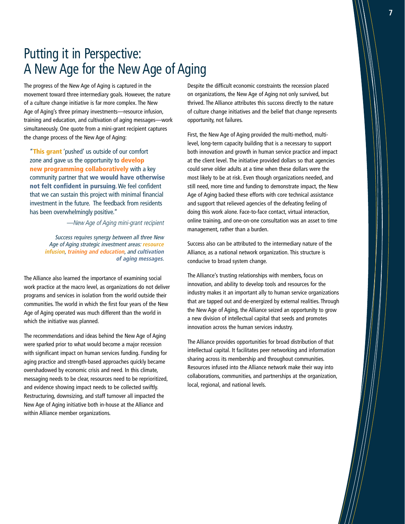# Putting it in Perspective: A New Age for the New Age of Aging

The progress of the New Age of Aging is captured in the movement toward three intermediary goals. However, the nature of a culture change initiative is far more complex. The New Age of Aging's three primary investments—resource infusion, training and education, and cultivation of aging messages—work simultaneously. One quote from a mini-grant recipient captures the change process of the New Age of Aging:

"This grant 'pushed' us outside of our comfort zone and gave us the opportunity to **develop** new programming collaboratively with a key community partner that we would have otherwise not felt confident in pursuing. We feel confident that we can sustain this project with minimal financial investment in the future. The feedback from residents has been overwhelmingly positive."

—New Age of Aging mini-grant recipient

Success requires synergy between all three New Age of Aging strategic investment areas: **resource infusion**, **training and education**, and **cultivation of aging messages**.

The Alliance also learned the importance of examining social work practice at the macro level, as organizations do not deliver programs and services in isolation from the world outside their communities. The world in which the first four years of the New Age of Aging operated was much different than the world in which the initiative was planned.

The recommendations and ideas behind the New Age of Aging were sparked prior to what would become a major recession with significant impact on human services funding. Funding for aging practice and strength-based approaches quickly became overshadowed by economic crisis and need. In this climate, messaging needs to be clear, resources need to be reprioritized, and evidence showing impact needs to be collected swiftly. Restructuring, downsizing, and staff turnover all impacted the New Age of Aging initiative both in-house at the Alliance and within Alliance member organizations.

Despite the difficult economic constraints the recession placed on organizations, the New Age of Aging not only survived, but thrived. The Alliance attributes this success directly to the nature of culture change initiatives and the belief that change represents opportunity, not failures.

First, the New Age of Aging provided the multi-method, multilevel, long-term capacity building that is a necessary to support both innovation and growth in human service practice and impact at the client level. The initiative provided dollars so that agencies could serve older adults at a time when these dollars were the most likely to be at risk. Even though organizations needed, and still need, more time and funding to demonstrate impact, the New Age of Aging backed these efforts with core technical assistance and support that relieved agencies of the defeating feeling of doing this work alone. Face-to-face contact, virtual interaction, online training, and one-on-one consultation was an asset to time management, rather than a burden.

Success also can be attributed to the intermediary nature of the Alliance, as a national network organization. This structure is conducive to broad system change.

The Alliance's trusting relationships with members, focus on innovation, and ability to develop tools and resources for the industry makes it an important ally to human service organizations that are tapped out and de-energized by external realities. Through the New Age of Aging, the Alliance seized an opportunity to grow a new division of intellectual capital that seeds and promotes innovation across the human services industry.

The Alliance provides opportunities for broad distribution of that intellectual capital. It facilitates peer networking and information sharing across its membership and throughout communities. Resources infused into the Alliance network make their way into collaborations, communities, and partnerships at the organization, local, regional, and national levels.